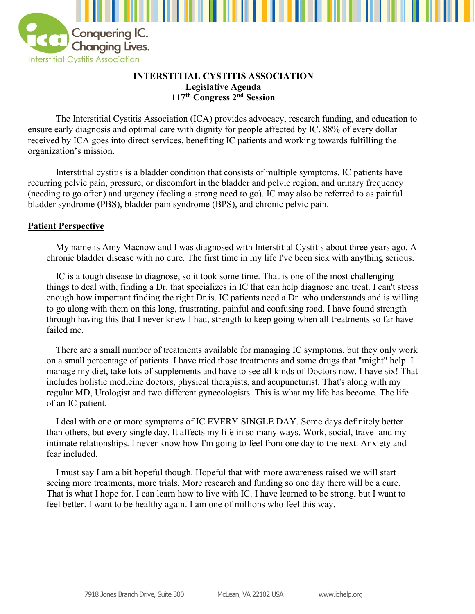

## **INTERSTITIAL CYSTITIS ASSOCIATION Legislative Agenda 117th Congress 2 nd Session**

The Interstitial Cystitis Association (ICA) provides advocacy, research funding, and education to ensure early diagnosis and optimal care with dignity for people affected by IC. 88% of every dollar received by ICA goes into direct services, benefiting IC patients and working towards fulfilling the organization's mission.

Interstitial cystitis is a bladder condition that consists of multiple symptoms. IC patients have recurring pelvic pain, pressure, or discomfort in the bladder and pelvic region, and urinary frequency (needing to go often) and urgency (feeling a strong need to go). IC may also be referred to as painful bladder syndrome (PBS), bladder pain syndrome (BPS), and chronic pelvic pain.

## **Patient Perspective**

My name is Amy Macnow and I was diagnosed with Interstitial Cystitis about three years ago. A chronic bladder disease with no cure. The first time in my life I've been sick with anything serious.

IC is a tough disease to diagnose, so it took some time. That is one of the most challenging things to deal with, finding a Dr. that specializes in IC that can help diagnose and treat. I can't stress enough how important finding the right Dr.is. IC patients need a Dr. who understands and is willing to go along with them on this long, frustrating, painful and confusing road. I have found strength through having this that I never knew I had, strength to keep going when all treatments so far have failed me.

There are a small number of treatments available for managing IC symptoms, but they only work on a small percentage of patients. I have tried those treatments and some drugs that "might" help. I manage my diet, take lots of supplements and have to see all kinds of Doctors now. I have six! That includes holistic medicine doctors, physical therapists, and acupuncturist. That's along with my regular MD, Urologist and two different gynecologists. This is what my life has become. The life of an IC patient.

I deal with one or more symptoms of IC EVERY SINGLE DAY. Some days definitely better than others, but every single day. It affects my life in so many ways. Work, social, travel and my intimate relationships. I never know how I'm going to feel from one day to the next. Anxiety and fear included.

I must say I am a bit hopeful though. Hopeful that with more awareness raised we will start seeing more treatments, more trials. More research and funding so one day there will be a cure. That is what I hope for. I can learn how to live with IC. I have learned to be strong, but I want to feel better. I want to be healthy again. I am one of millions who feel this way.